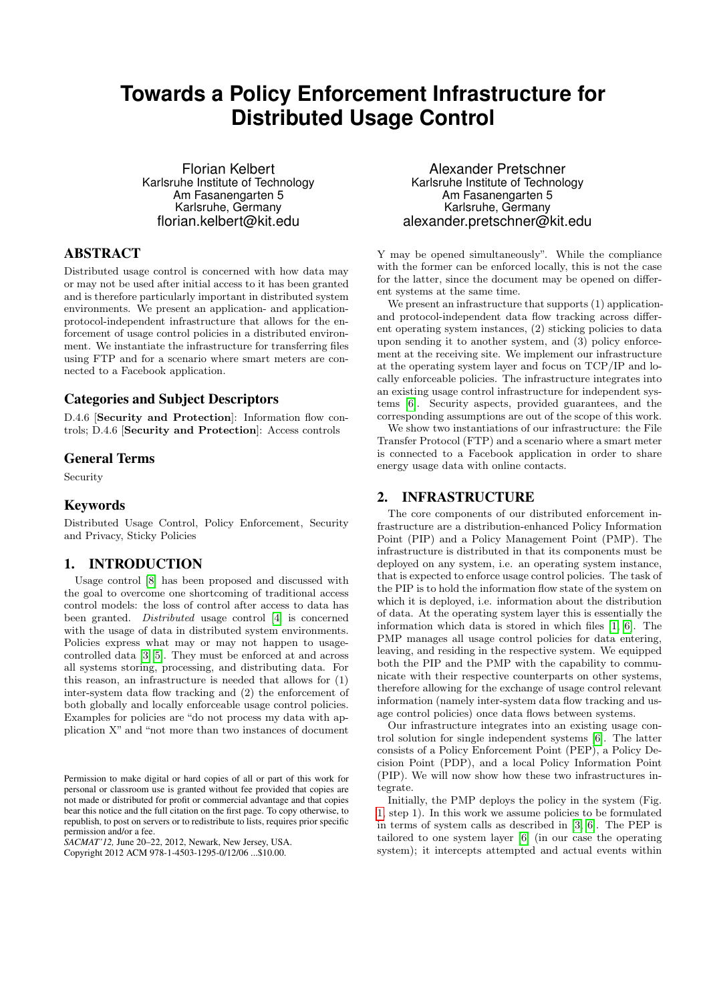# **Towards a Policy Enforcement Infrastructure for Distributed Usage Control**

Florian Kelbert Karlsruhe Institute of Technology Am Fasanengarten 5 Karlsruhe, Germany florian.kelbert@kit.edu

## ABSTRACT

Distributed usage control is concerned with how data may or may not be used after initial access to it has been granted and is therefore particularly important in distributed system environments. We present an application- and applicationprotocol-independent infrastructure that allows for the enforcement of usage control policies in a distributed environment. We instantiate the infrastructure for transferring files using FTP and for a scenario where smart meters are connected to a Facebook application.

## Categories and Subject Descriptors

D.4.6 [Security and Protection]: Information flow controls; D.4.6 [Security and Protection]: Access controls

### General Terms

Security

### Keywords

Distributed Usage Control, Policy Enforcement, Security and Privacy, Sticky Policies

## 1. INTRODUCTION

Usage control [\[8\]](#page-2-0) has been proposed and discussed with the goal to overcome one shortcoming of traditional access control models: the loss of control after access to data has been granted. Distributed usage control [\[4\]](#page-2-1) is concerned with the usage of data in distributed system environments. Policies express what may or may not happen to usagecontrolled data [\[3,](#page-2-2) [5\]](#page-2-3). They must be enforced at and across all systems storing, processing, and distributing data. For this reason, an infrastructure is needed that allows for (1) inter-system data flow tracking and (2) the enforcement of both globally and locally enforceable usage control policies. Examples for policies are "do not process my data with application X" and "not more than two instances of document

*SACMAT'12,* June 20–22, 2012, Newark, New Jersey, USA. Copyright 2012 ACM 978-1-4503-1295-0/12/06 ...\$10.00.

Alexander Pretschner Karlsruhe Institute of Technology Am Fasanengarten 5 Karlsruhe, Germany alexander.pretschner@kit.edu

Y may be opened simultaneously". While the compliance with the former can be enforced locally, this is not the case for the latter, since the document may be opened on different systems at the same time.

We present an infrastructure that supports  $(1)$  applicationand protocol-independent data flow tracking across different operating system instances, (2) sticking policies to data upon sending it to another system, and (3) policy enforcement at the receiving site. We implement our infrastructure at the operating system layer and focus on TCP/IP and locally enforceable policies. The infrastructure integrates into an existing usage control infrastructure for independent systems [\[6\]](#page-2-4). Security aspects, provided guarantees, and the corresponding assumptions are out of the scope of this work.

We show two instantiations of our infrastructure: the File Transfer Protocol (FTP) and a scenario where a smart meter is connected to a Facebook application in order to share energy usage data with online contacts.

#### <span id="page-0-0"></span>2. INFRASTRUCTURE

The core components of our distributed enforcement infrastructure are a distribution-enhanced Policy Information Point (PIP) and a Policy Management Point (PMP). The infrastructure is distributed in that its components must be deployed on any system, i.e. an operating system instance, that is expected to enforce usage control policies. The task of the PIP is to hold the information flow state of the system on which it is deployed, i.e. information about the distribution of data. At the operating system layer this is essentially the information which data is stored in which files [\[1,](#page-2-5) [6\]](#page-2-4). The PMP manages all usage control policies for data entering, leaving, and residing in the respective system. We equipped both the PIP and the PMP with the capability to communicate with their respective counterparts on other systems, therefore allowing for the exchange of usage control relevant information (namely inter-system data flow tracking and usage control policies) once data flows between systems.

Our infrastructure integrates into an existing usage control solution for single independent systems [\[6\]](#page-2-4). The latter consists of a Policy Enforcement Point (PEP), a Policy Decision Point (PDP), and a local Policy Information Point (PIP). We will now show how these two infrastructures integrate.

Initially, the PMP deploys the policy in the system (Fig. [1,](#page-1-0) step 1). In this work we assume policies to be formulated in terms of system calls as described in [\[3,](#page-2-2) [6\]](#page-2-4). The PEP is tailored to one system layer [\[6\]](#page-2-4) (in our case the operating system); it intercepts attempted and actual events within

Permission to make digital or hard copies of all or part of this work for personal or classroom use is granted without fee provided that copies are not made or distributed for profit or commercial advantage and that copies bear this notice and the full citation on the first page. To copy otherwise, to republish, to post on servers or to redistribute to lists, requires prior specific permission and/or a fee.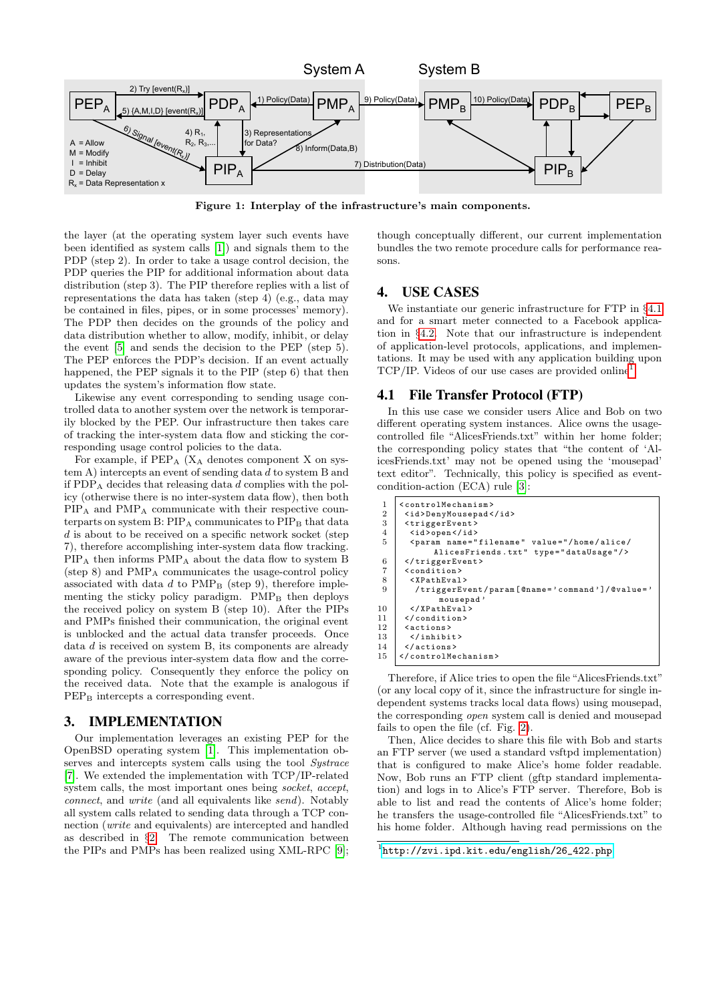

<span id="page-1-0"></span>Figure 1: Interplay of the infrastructure's main components.

the layer (at the operating system layer such events have been identified as system calls [\[1\]](#page-2-5)) and signals them to the PDP (step 2). In order to take a usage control decision, the PDP queries the PIP for additional information about data distribution (step 3). The PIP therefore replies with a list of representations the data has taken (step 4) (e.g., data may be contained in files, pipes, or in some processes' memory). The PDP then decides on the grounds of the policy and data distribution whether to allow, modify, inhibit, or delay the event [\[5\]](#page-2-3) and sends the decision to the PEP (step 5). The PEP enforces the PDP's decision. If an event actually happened, the PEP signals it to the PIP (step 6) that then updates the system's information flow state.

Likewise any event corresponding to sending usage controlled data to another system over the network is temporarily blocked by the PEP. Our infrastructure then takes care of tracking the inter-system data flow and sticking the corresponding usage control policies to the data.

For example, if  $PEP_A$  ( $X_A$  denotes component X on system A) intercepts an event of sending data d to system B and if PDP<sub>A</sub> decides that releasing data d complies with the policy (otherwise there is no inter-system data flow), then both PIP<sup>A</sup> and PMP<sup>A</sup> communicate with their respective counterparts on system  $B$ :  $PIP_A$  communicates to  $PIP_B$  that data d is about to be received on a specific network socket (step 7), therefore accomplishing inter-system data flow tracking. PIP<sup>A</sup> then informs PMP<sup>A</sup> about the data flow to system B (step 8) and PMP<sup>A</sup> communicates the usage-control policy associated with data  $d$  to  $\text{PMP}_B$  (step 9), therefore implementing the sticky policy paradigm.  $PMP<sub>B</sub>$  then deploys the received policy on system B (step 10). After the PIPs and PMPs finished their communication, the original event is unblocked and the actual data transfer proceeds. Once data d is received on system B, its components are already aware of the previous inter-system data flow and the corresponding policy. Consequently they enforce the policy on the received data. Note that the example is analogous if PEP<sub>B</sub> intercepts a corresponding event.

#### 3. IMPLEMENTATION

Our implementation leverages an existing PEP for the OpenBSD operating system [\[1\]](#page-2-5). This implementation observes and intercepts system calls using the tool Systrace [\[7\]](#page-2-6). We extended the implementation with TCP/IP-related system calls, the most important ones being socket, accept, connect, and write (and all equivalents like send). Notably all system calls related to sending data through a TCP connection (write and equivalents) are intercepted and handled as described in §[2.](#page-0-0) The remote communication between the PIPs and PMPs has been realized using XML-RPC [\[9\]](#page-2-7);

though conceptually different, our current implementation bundles the two remote procedure calls for performance reasons.

## 4. USE CASES

We instantiate our generic infrastructure for FTP in §[4.1](#page-1-1) and for a smart meter connected to a Facebook application in §[4.2.](#page-2-8) Note that our infrastructure is independent of application-level protocols, applications, and implementations. It may be used with any application building upon  $TCP/IP. Vides of our use cases are provided online<sup>1</sup>.$  $TCP/IP. Vides of our use cases are provided online<sup>1</sup>.$  $TCP/IP. Vides of our use cases are provided online<sup>1</sup>.$ 

#### <span id="page-1-1"></span>4.1 File Transfer Protocol (FTP)

In this use case we consider users Alice and Bob on two different operating system instances. Alice owns the usagecontrolled file "AlicesFriends.txt" within her home folder; the corresponding policy states that "the content of 'AlicesFriends.txt' may not be opened using the 'mousepad' text editor". Technically, this policy is specified as eventcondition-action (ECA) rule [\[3\]](#page-2-2):

| 1              | <controlmechanism></controlmechanism>                                                                                                          |
|----------------|------------------------------------------------------------------------------------------------------------------------------------------------|
| $\overline{2}$ | <id>DenyMousepad</id>                                                                                                                          |
| 3              | <triggerevent></triggerevent>                                                                                                                  |
| $\overline{4}$ | $\langle id \rangle$ open $\langle id \rangle$                                                                                                 |
| 5              | <param name="filename" type="dataUsage" value="/home/alice/&lt;/th&gt;&lt;/tr&gt;&lt;tr&gt;&lt;th&gt;&lt;/th&gt;&lt;th&gt;AlicesFriends.txt"/> |
| 6              |                                                                                                                                                |
| $\overline{7}$ | $<$ condition $>$                                                                                                                              |
| 8              | $<$ XPathEval>                                                                                                                                 |
| 9              | /triggerEvent/param [@name='command']/@value='                                                                                                 |
|                | mousepad'                                                                                                                                      |
| 10             |                                                                                                                                                |
| 11             |                                                                                                                                                |
| 12             | <actions></actions>                                                                                                                            |
| 13             |                                                                                                                                                |
| 14             |                                                                                                                                                |
| 15             |                                                                                                                                                |
|                |                                                                                                                                                |

Therefore, if Alice tries to open the file "AlicesFriends.txt" (or any local copy of it, since the infrastructure for single independent systems tracks local data flows) using mousepad, the corresponding open system call is denied and mousepad fails to open the file (cf. Fig. [2\)](#page-2-9).

Then, Alice decides to share this file with Bob and starts an FTP server (we used a standard vsftpd implementation) that is configured to make Alice's home folder readable. Now, Bob runs an FTP client (gftp standard implementation) and logs in to Alice's FTP server. Therefore, Bob is able to list and read the contents of Alice's home folder; he transfers the usage-controlled file "AlicesFriends.txt" to his home folder. Although having read permissions on the

<span id="page-1-2"></span><sup>1</sup> [http://zvi.ipd.kit.edu/english/26\\_422.php](http://zvi.ipd.kit.edu/english/26_422.php)